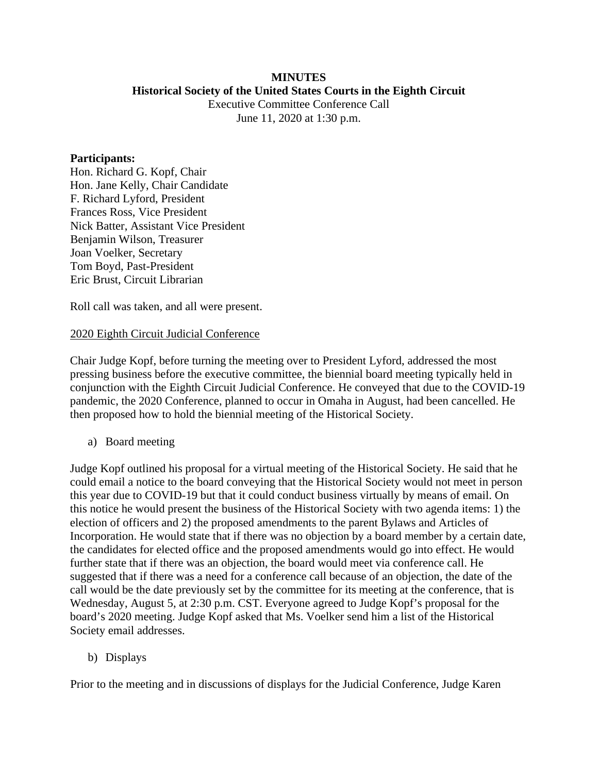#### **MINUTES Historical Society of the United States Courts in the Eighth Circuit**

Executive Committee Conference Call June 11, 2020 at 1:30 p.m.

#### **Participants:**

Hon. Richard G. Kopf, Chair Hon. Jane Kelly, Chair Candidate F. Richard Lyford, President Frances Ross, Vice President Nick Batter, Assistant Vice President Benjamin Wilson, Treasurer Joan Voelker, Secretary Tom Boyd, Past-President Eric Brust, Circuit Librarian

Roll call was taken, and all were present.

### 2020 Eighth Circuit Judicial Conference

Chair Judge Kopf, before turning the meeting over to President Lyford, addressed the most pressing business before the executive committee, the biennial board meeting typically held in conjunction with the Eighth Circuit Judicial Conference. He conveyed that due to the COVID-19 pandemic, the 2020 Conference, planned to occur in Omaha in August, had been cancelled. He then proposed how to hold the biennial meeting of the Historical Society.

a) Board meeting

Judge Kopf outlined his proposal for a virtual meeting of the Historical Society. He said that he could email a notice to the board conveying that the Historical Society would not meet in person this year due to COVID-19 but that it could conduct business virtually by means of email. On this notice he would present the business of the Historical Society with two agenda items: 1) the election of officers and 2) the proposed amendments to the parent Bylaws and Articles of Incorporation. He would state that if there was no objection by a board member by a certain date, the candidates for elected office and the proposed amendments would go into effect. He would further state that if there was an objection, the board would meet via conference call. He suggested that if there was a need for a conference call because of an objection, the date of the call would be the date previously set by the committee for its meeting at the conference, that is Wednesday, August 5, at 2:30 p.m. CST. Everyone agreed to Judge Kopf's proposal for the board's 2020 meeting. Judge Kopf asked that Ms. Voelker send him a list of the Historical Society email addresses.

### b) Displays

Prior to the meeting and in discussions of displays for the Judicial Conference, Judge Karen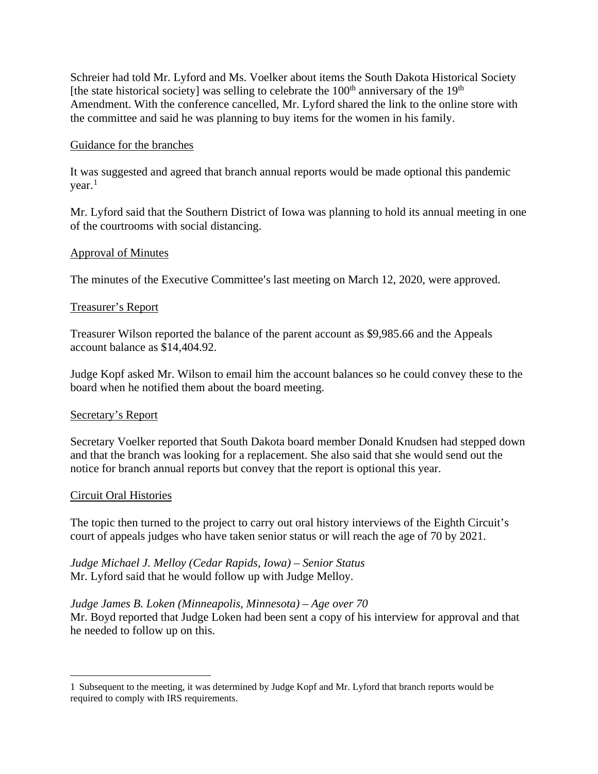Schreier had told Mr. Lyford and Ms. Voelker about items the South Dakota Historical Society [the state historical society] was selling to celebrate the  $100<sup>th</sup>$  anniversary of the  $19<sup>th</sup>$ Amendment. With the conference cancelled, Mr. Lyford shared the link to the online store with the committee and said he was planning to buy items for the women in his family.

### Guidance for the branches

It was suggested and agreed that branch annual reports would be made optional this pandemic  $year<sup>1</sup>$  $year<sup>1</sup>$  $year<sup>1</sup>$ 

Mr. Lyford said that the Southern District of Iowa was planning to hold its annual meeting in one of the courtrooms with social distancing.

### Approval of Minutes

The minutes of the Executive Committee's last meeting on March 12, 2020, were approved.

## Treasurer's Report

Treasurer Wilson reported the balance of the parent account as \$9,985.66 and the Appeals account balance as \$14,404.92.

Judge Kopf asked Mr. Wilson to email him the account balances so he could convey these to the board when he notified them about the board meeting.

# Secretary's Report

Secretary Voelker reported that South Dakota board member Donald Knudsen had stepped down and that the branch was looking for a replacement. She also said that she would send out the notice for branch annual reports but convey that the report is optional this year.

### Circuit Oral Histories

The topic then turned to the project to carry out oral history interviews of the Eighth Circuit's court of appeals judges who have taken senior status or will reach the age of 70 by 2021.

*Judge Michael J. Melloy (Cedar Rapids, Iowa) – Senior Status* Mr. Lyford said that he would follow up with Judge Melloy.

### *Judge James B. Loken (Minneapolis, Minnesota) – Age over 70*

Mr. Boyd reported that Judge Loken had been sent a copy of his interview for approval and that he needed to follow up on this.

<span id="page-1-0"></span><sup>1</sup> Subsequent to the meeting, it was determined by Judge Kopf and Mr. Lyford that branch reports would be required to comply with IRS requirements.